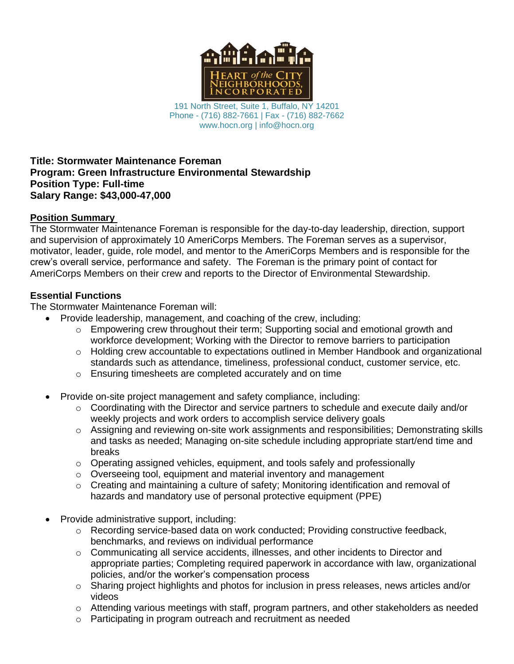

191 North Street, Suite 1, Buffalo, NY 14201 Phone - (716) 882-7661 | Fax - (716) 882-7662 www.hocn.org | info@hocn.org

#### **Title: Stormwater Maintenance Foreman Program: Green Infrastructure Environmental Stewardship Position Type: Full-time Salary Range: \$43,000-47,000**

#### **Position Summary**

The Stormwater Maintenance Foreman is responsible for the day-to-day leadership, direction, support and supervision of approximately 10 AmeriCorps Members. The Foreman serves as a supervisor, motivator, leader, guide, role model, and mentor to the AmeriCorps Members and is responsible for the crew's overall service, performance and safety. The Foreman is the primary point of contact for AmeriCorps Members on their crew and reports to the Director of Environmental Stewardship.

# **Essential Functions**

The Stormwater Maintenance Foreman will:

- Provide leadership, management, and coaching of the crew, including:
	- $\circ$  Empowering crew throughout their term; Supporting social and emotional growth and workforce development; Working with the Director to remove barriers to participation
	- $\circ$  Holding crew accountable to expectations outlined in Member Handbook and organizational standards such as attendance, timeliness, professional conduct, customer service, etc.
	- o Ensuring timesheets are completed accurately and on time
- Provide on-site project management and safety compliance, including:
	- $\circ$  Coordinating with the Director and service partners to schedule and execute daily and/or weekly projects and work orders to accomplish service delivery goals
	- $\circ$  Assigning and reviewing on-site work assignments and responsibilities; Demonstrating skills and tasks as needed; Managing on-site schedule including appropriate start/end time and breaks
	- $\circ$  Operating assigned vehicles, equipment, and tools safely and professionally
	- o Overseeing tool, equipment and material inventory and management
	- $\circ$  Creating and maintaining a culture of safety; Monitoring identification and removal of hazards and mandatory use of personal protective equipment (PPE)
- Provide administrative support, including:
	- o Recording service-based data on work conducted; Providing constructive feedback, benchmarks, and reviews on individual performance
	- $\circ$  Communicating all service accidents, illnesses, and other incidents to Director and appropriate parties; Completing required paperwork in accordance with law, organizational policies, and/or the worker's compensation process
	- o Sharing project highlights and photos for inclusion in press releases, news articles and/or videos
	- o Attending various meetings with staff, program partners, and other stakeholders as needed
	- o Participating in program outreach and recruitment as needed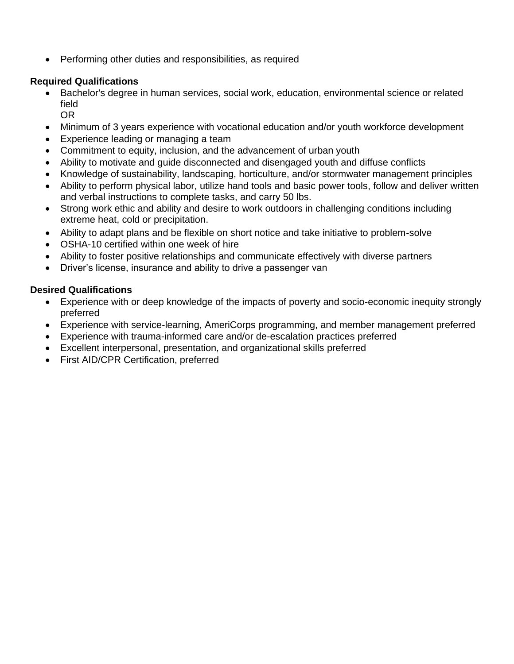• Performing other duties and responsibilities, as required

# **Required Qualifications**

- Bachelor's degree in human services, social work, education, environmental science or related field
	- OR
- Minimum of 3 years experience with vocational education and/or youth workforce development
- Experience leading or managing a team
- Commitment to equity, inclusion, and the advancement of urban youth
- Ability to motivate and guide disconnected and disengaged youth and diffuse conflicts
- Knowledge of sustainability, landscaping, horticulture, and/or stormwater management principles
- Ability to perform physical labor, utilize hand tools and basic power tools, follow and deliver written and verbal instructions to complete tasks, and carry 50 lbs.
- Strong work ethic and ability and desire to work outdoors in challenging conditions including extreme heat, cold or precipitation.
- Ability to adapt plans and be flexible on short notice and take initiative to problem-solve
- OSHA-10 certified within one week of hire
- Ability to foster positive relationships and communicate effectively with diverse partners
- Driver's license, insurance and ability to drive a passenger van

# **Desired Qualifications**

- Experience with or deep knowledge of the impacts of poverty and socio-economic inequity strongly preferred
- Experience with service-learning, AmeriCorps programming, and member management preferred
- Experience with trauma-informed care and/or de-escalation practices preferred
- Excellent interpersonal, presentation, and organizational skills preferred
- First AID/CPR Certification, preferred